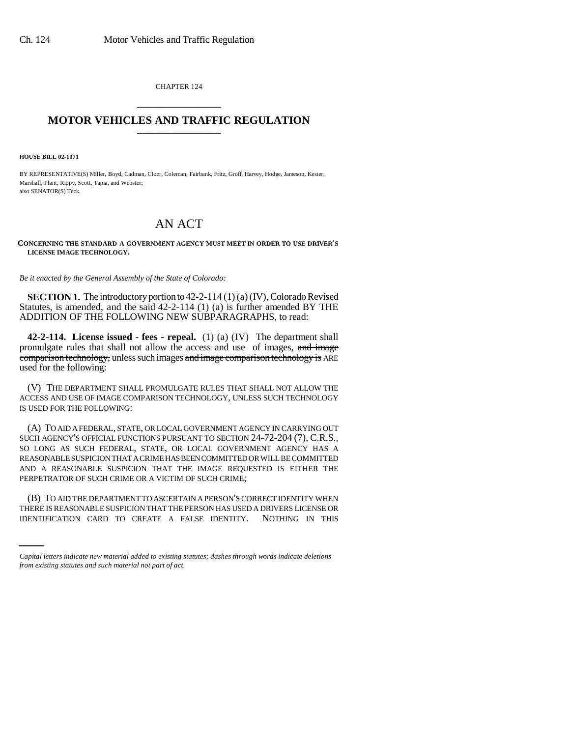CHAPTER 124 \_\_\_\_\_\_\_\_\_\_\_\_\_\_\_

## **MOTOR VEHICLES AND TRAFFIC REGULATION** \_\_\_\_\_\_\_\_\_\_\_\_\_\_\_

**HOUSE BILL 02-1071**

BY REPRESENTATIVE(S) Miller, Boyd, Cadman, Cloer, Coleman, Fairbank, Fritz, Groff, Harvey, Hodge, Jameson, Kester, Marshall, Plant, Rippy, Scott, Tapia, and Webster; also SENATOR(S) Teck.

## AN ACT

## **CONCERNING THE STANDARD A GOVERNMENT AGENCY MUST MEET IN ORDER TO USE DRIVER'S LICENSE IMAGE TECHNOLOGY.**

*Be it enacted by the General Assembly of the State of Colorado:*

**SECTION 1.** The introductory portion to 42-2-114 (1) (a) (IV), Colorado Revised Statutes, is amended, and the said 42-2-114 (1) (a) is further amended BY THE ADDITION OF THE FOLLOWING NEW SUBPARAGRAPHS, to read:

**42-2-114. License issued - fees - repeal.** (1) (a) (IV) The department shall promulgate rules that shall not allow the access and use of images, and image comparison technology, unless such images and image comparison technology is ARE used for the following:

(V) THE DEPARTMENT SHALL PROMULGATE RULES THAT SHALL NOT ALLOW THE ACCESS AND USE OF IMAGE COMPARISON TECHNOLOGY, UNLESS SUCH TECHNOLOGY IS USED FOR THE FOLLOWING:

(A) TO AID A FEDERAL, STATE, OR LOCAL GOVERNMENT AGENCY IN CARRYING OUT SUCH AGENCY'S OFFICIAL FUNCTIONS PURSUANT TO SECTION 24-72-204 (7), C.R.S., SO LONG AS SUCH FEDERAL, STATE, OR LOCAL GOVERNMENT AGENCY HAS A REASONABLE SUSPICION THAT A CRIME HAS BEEN COMMITTED OR WILL BE COMMITTED AND A REASONABLE SUSPICION THAT THE IMAGE REQUESTED IS EITHER THE PERPETRATOR OF SUCH CRIME OR A VICTIM OF SUCH CRIME;

(B) TO AID THE DEPARTMENT TO ASCERTAIN A PERSON'S CORRECT IDENTITY WHEN THERE IS REASONABLE SUSPICION THAT THE PERSON HAS USED A DRIVERS LICENSE OR IDENTIFICATION CARD TO CREATE A FALSE IDENTITY. NOTHING IN THIS

*Capital letters indicate new material added to existing statutes; dashes through words indicate deletions from existing statutes and such material not part of act.*